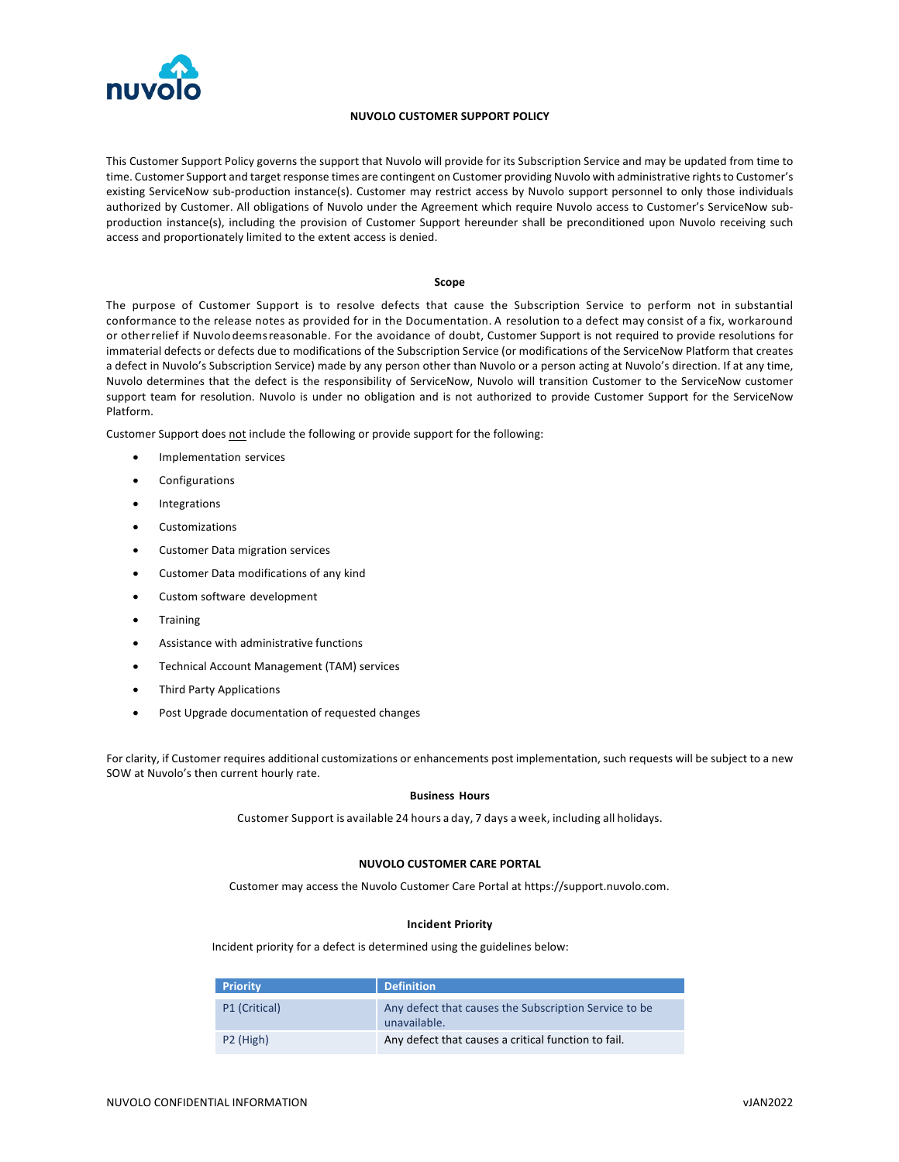

# **NUVOLO CUSTOMER SUPPORT POLICY**

This Customer Support Policy governs the support that Nuvolo will provide for its Subscription Service and may be updated from time to time. Customer Support and target response times are contingent on Customer providing Nuvolo with administrative rights to Customer's existing ServiceNow sub-production instance(s). Customer may restrict access by Nuvolo support personnel to only those individuals authorized by Customer. All obligations of Nuvolo under the Agreement which require Nuvolo access to Customer's ServiceNow subproduction instance(s), including the provision of Customer Support hereunder shall be preconditioned upon Nuvolo receiving such access and proportionately limited to the extent access is denied.

### **Scope**

The purpose of Customer Support is to resolve defects that cause the Subscription Service to perform not in substantial conformance to the release notes as provided for in the Documentation. A resolution to a defect may consist of a fix, workaround or otherrelief if Nuvolo deemsreasonable. For the avoidance of doubt, Customer Support is not required to provide resolutions for immaterial defects or defects due to modifications of the Subscription Service (or modifications of the ServiceNow Platform that creates a defect in Nuvolo's Subscription Service) made by any person other than Nuvolo or a person acting at Nuvolo's direction. If at any time, Nuvolo determines that the defect is the responsibility of ServiceNow, Nuvolo will transition Customer to the ServiceNow customer support team for resolution. Nuvolo is under no obligation and is not authorized to provide Customer Support for the ServiceNow Platform.

Customer Support does not include the following or provide support for the following:

- Implementation services
- **Configurations**
- **Integrations**
- **Customizations**
- Customer Data migration services
- Customer Data modifications of any kind
- Custom software development
- **Training**
- Assistance with administrative functions
- Technical Account Management (TAM) services
- Third Party Applications
- Post Upgrade documentation of requested changes

For clarity, if Customer requires additional customizations or enhancements post implementation, such requests will be subject to a new SOW at Nuvolo's then current hourly rate.

#### **Business Hours**

Customer Support is available 24 hours a day, 7 days a week, including all holidays.

# **NUVOLO CUSTOMER CARE PORTAL**

Customer may access the Nuvolo Customer Care Portal at https://support.nuvolo.com.

#### **Incident Priority**

Incident priority for a defect is determined using the guidelines below:

| <b>Priority</b>       | <b>Definition</b>                                                     |  |
|-----------------------|-----------------------------------------------------------------------|--|
| P1 (Critical)         | Any defect that causes the Subscription Service to be<br>unavailable. |  |
| P <sub>2</sub> (High) | Any defect that causes a critical function to fail.                   |  |